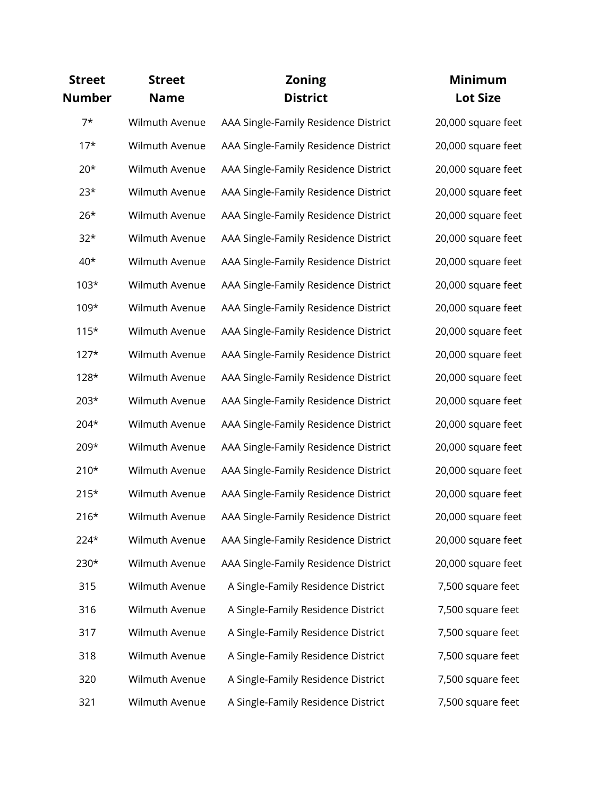| <b>Street</b><br>Number | <b>Street</b><br><b>Name</b> | <b>Zoning</b><br><b>District</b>     | <b>Minimum</b><br><b>Lot Size</b> |
|-------------------------|------------------------------|--------------------------------------|-----------------------------------|
| $7*$                    | Wilmuth Avenue               | AAA Single-Family Residence District | 20,000 square feet                |
| $17*$                   | Wilmuth Avenue               | AAA Single-Family Residence District | 20,000 square feet                |
| $20*$                   | Wilmuth Avenue               | AAA Single-Family Residence District | 20,000 square feet                |
| $23*$                   | Wilmuth Avenue               | AAA Single-Family Residence District | 20,000 square feet                |
| $26*$                   | Wilmuth Avenue               | AAA Single-Family Residence District | 20,000 square feet                |
| $32*$                   | Wilmuth Avenue               | AAA Single-Family Residence District | 20,000 square feet                |
| $40*$                   | Wilmuth Avenue               | AAA Single-Family Residence District | 20,000 square feet                |
| $103*$                  | Wilmuth Avenue               | AAA Single-Family Residence District | 20,000 square feet                |
| 109*                    | Wilmuth Avenue               | AAA Single-Family Residence District | 20,000 square feet                |
| $115*$                  | Wilmuth Avenue               | AAA Single-Family Residence District | 20,000 square feet                |
| $127*$                  | Wilmuth Avenue               | AAA Single-Family Residence District | 20,000 square feet                |
| 128*                    | Wilmuth Avenue               | AAA Single-Family Residence District | 20,000 square feet                |
| $203*$                  | Wilmuth Avenue               | AAA Single-Family Residence District | 20,000 square feet                |
| 204*                    | Wilmuth Avenue               | AAA Single-Family Residence District | 20,000 square feet                |
| 209*                    | Wilmuth Avenue               | AAA Single-Family Residence District | 20,000 square feet                |
| $210*$                  | Wilmuth Avenue               | AAA Single-Family Residence District | 20,000 square feet                |
| $215*$                  | Wilmuth Avenue               | AAA Single-Family Residence District | 20,000 square feet                |
| $216*$                  | Wilmuth Avenue               | AAA Single-Family Residence District | 20,000 square feet                |
| $224*$                  | Wilmuth Avenue               | AAA Single-Family Residence District | 20,000 square feet                |
| 230*                    | Wilmuth Avenue               | AAA Single-Family Residence District | 20,000 square feet                |
| 315                     | Wilmuth Avenue               | A Single-Family Residence District   | 7,500 square feet                 |
| 316                     | Wilmuth Avenue               | A Single-Family Residence District   | 7,500 square feet                 |
| 317                     | Wilmuth Avenue               | A Single-Family Residence District   | 7,500 square feet                 |
| 318                     | Wilmuth Avenue               | A Single-Family Residence District   | 7,500 square feet                 |
| 320                     | Wilmuth Avenue               | A Single-Family Residence District   | 7,500 square feet                 |
| 321                     | Wilmuth Avenue               | A Single-Family Residence District   | 7,500 square feet                 |